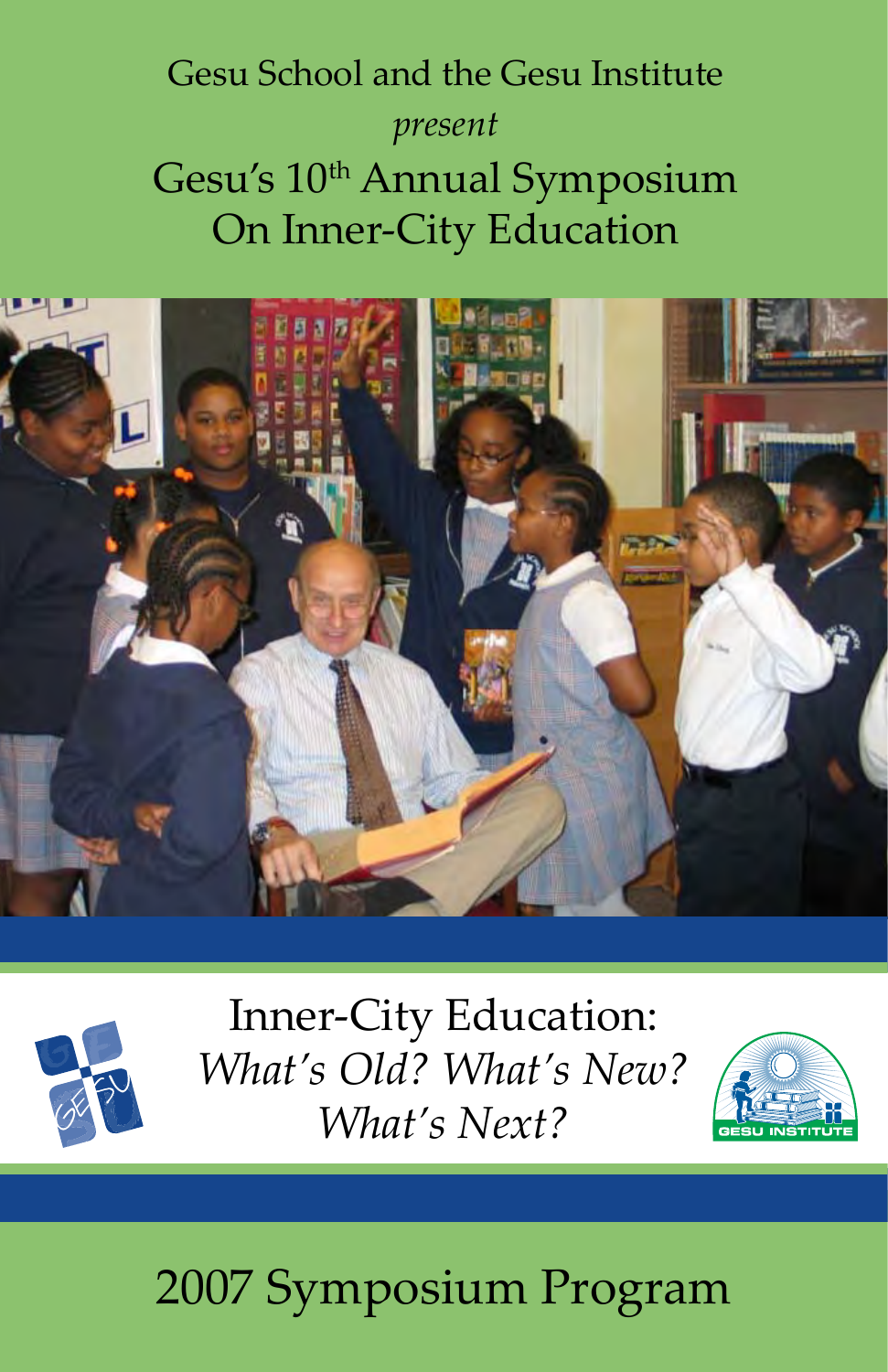# Gesu School and the Gesu Institute *present* Gesu's 10<sup>th</sup> Annual Symposium On Inner-City Education





Inner-City Education: *What's Old? What's New? What's Next?*



# 2007 Symposium Program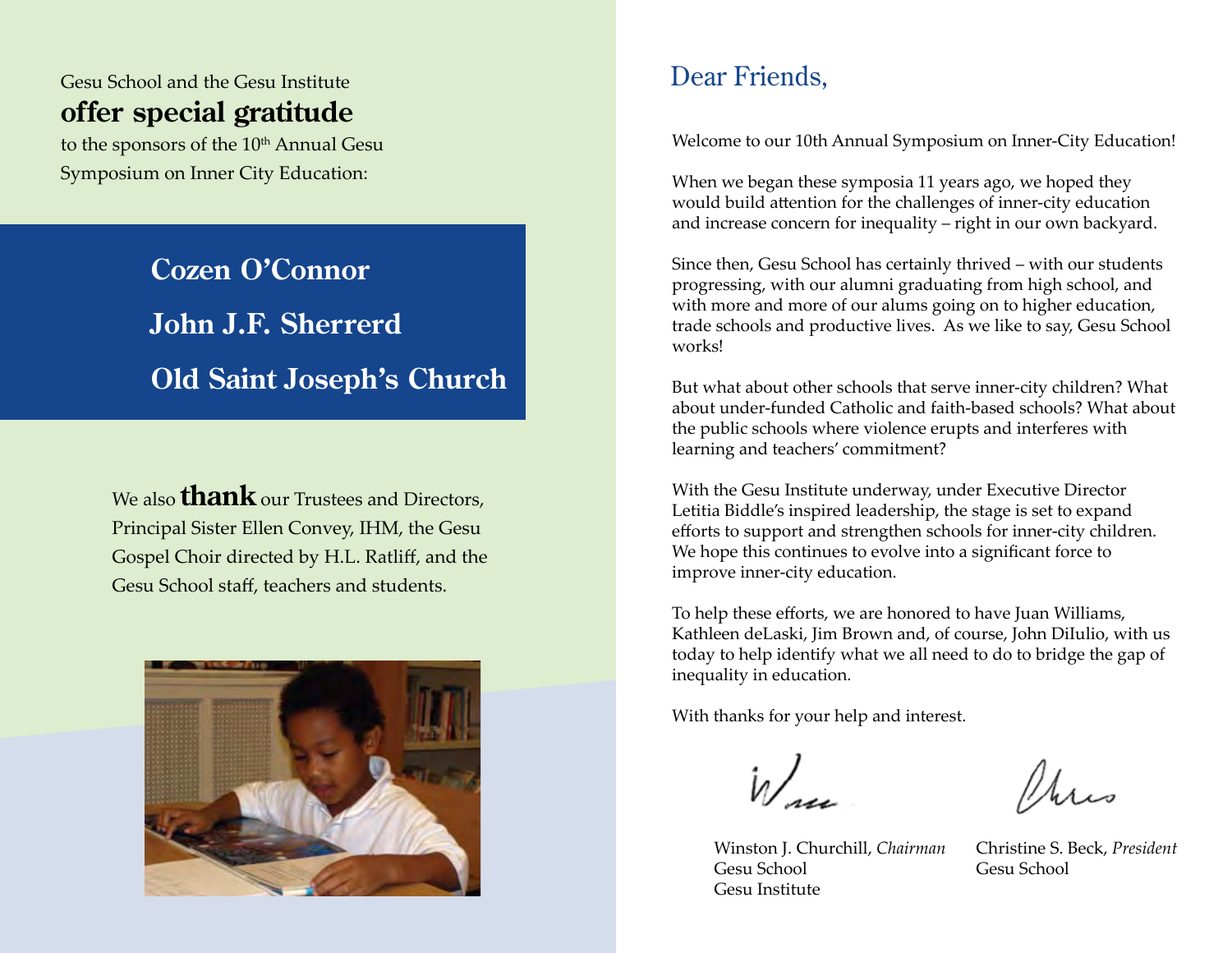# Gesu School and the Gesu Institute **offer special gratitude**

to the sponsors of the 10<sup>th</sup> Annual Gesu Symposium on Inner City Education:

> **Cozen O'Connor John J.F. Sherrerd Old Saint Joseph's Church**

We also **thank** our Trustees and Directors, Principal Sister Ellen Convey, IHM, the Gesu Gospel Choir directed by H.L. Ratliff, and the Gesu School staff, teachers and students.



# Dear Friends,

Welcome to our 10th Annual Symposium on Inner-City Education!

When we began these symposia 11 years ago, we hoped they would build attention for the challenges of inner-city education and increase concern for inequality – right in our own backyard.

Since then, Gesu School has certainly thrived – with our students progressing, with our alumni graduating from high school, and with more and more of our alums going on to higher education, trade schools and productive lives. As we like to say, Gesu School works!

But what about other schools that serve inner-city children? What about under-funded Catholic and faith-based schools? What about the public schools where violence erupts and interferes with learning and teachers' commitment?

With the Gesu Institute underway, under Executive Director Letitia Biddle's inspired leadership, the stage is set to expand efforts to support and strengthen schools for inner-city children. We hope this continues to evolve into a significant force to improve inner-city education.

To help these efforts, we are honored to have Juan Williams, Kathleen deLaski, Jim Brown and, of course, John DiIulio, with us today to help identify what we all need to do to bridge the gap of inequality in education.

With thanks for your help and interest.

Winston J. Churchill, *Chairman* Gesu School Gesu Institute

Mars

Christine S. Beck, *President* Gesu School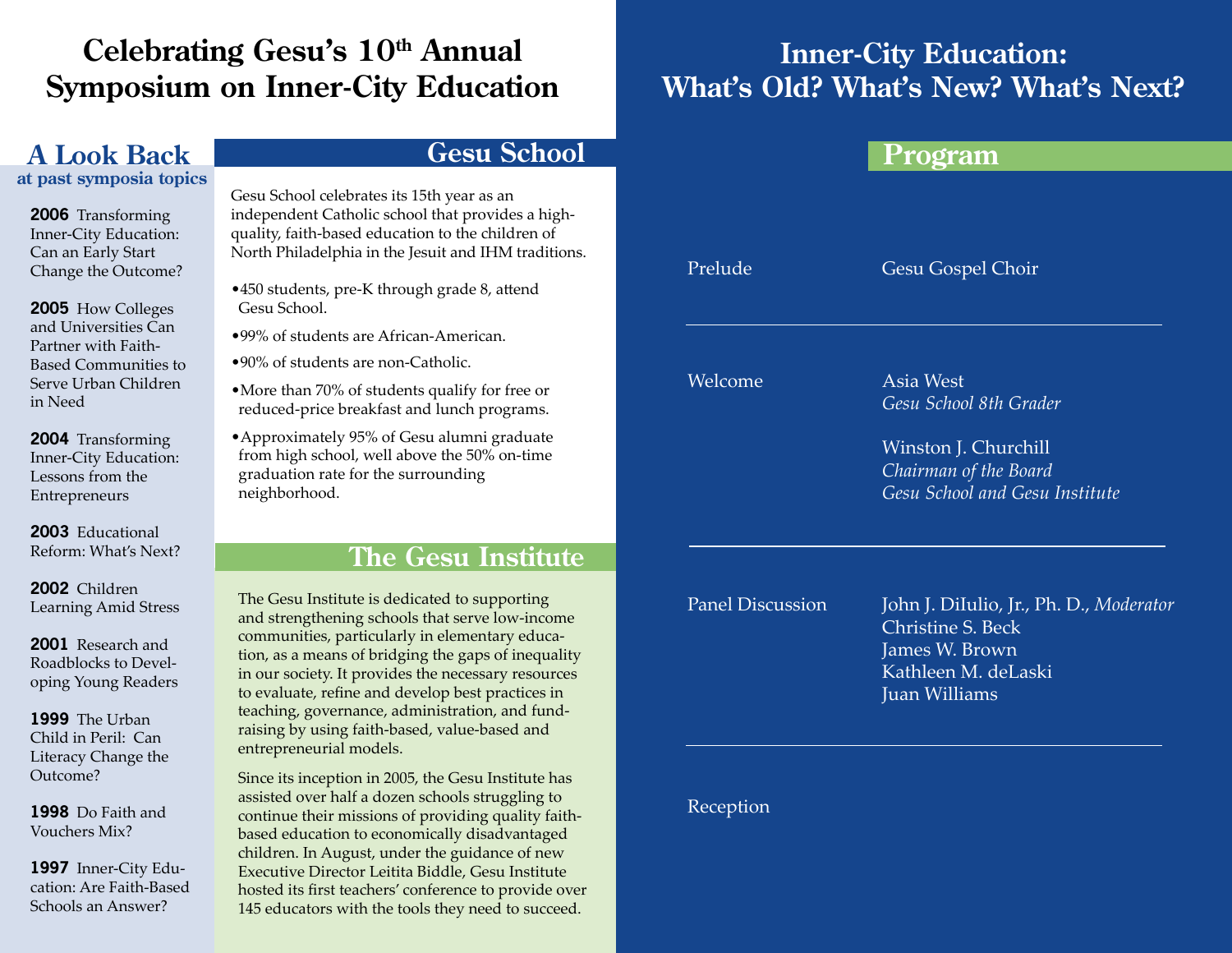# **Celebrating Gesu's 10th Annual Symposium on Inner-City Education**

# **A Look Back**

**at past symposia topics**

**2006** Transforming Inner-City Education: Can an Early Start Change the Outcome?

**2005** How Colleges and Universities Can Partner with Faith-Based Communities to Serve Urban Children in Need

**2004** Transforming Inner-City Education: Lessons from the Entrepreneurs

**2003** Educational Reform: What's Next?

**2002** Children Learning Amid Stress

**2001** Research and Roadblocks to Developing Young Readers

**1999** The Urban Child in Peril: Can Literacy Change the Outcome?

**1998** Do Faith and Vouchers Mix?

**1997** Inner-City Education: Are Faith-Based Schools an Answer?

## **Gesu School**

Gesu School celebrates its 15th year as an independent Catholic school that provides a highquality, faith-based education to the children of North Philadelphia in the Jesuit and IHM traditions.

- •450 students, pre-K through grade 8, attend Gesu School.
- •99% of students are African-American.
- •90% of students are non-Catholic.
- •More than 70% of students qualify for free or reduced-price breakfast and lunch programs.
- •Approximately 95% of Gesu alumni graduate from high school, well above the 50% on-time graduation rate for the surrounding neighborhood.

## **The Gesu Institute**

The Gesu Institute is dedicated to supporting and strengthening schools that serve low-income communities, particularly in elementary education, as a means of bridging the gaps of inequality in our society. It provides the necessary resources to evaluate, refine and develop best practices in teaching, governance, administration, and fundraising by using faith-based, value-based and entrepreneurial models.

Since its inception in 2005, the Gesu Institute has assisted over half a dozen schools struggling to continue their missions of providing quality faithbased education to economically disadvantaged children. In August, under the guidance of new Executive Director Leitita Biddle, Gesu Institute hosted its first teachers' conference to provide over 145 educators with the tools they need to succeed.

# **Inner-City Education: What's Old? What's New? What's Next?**

## **Program**

Prelude

Gesu Gospel Choir

Welcome

Asia West *Gesu School 8th Grader*

Winston J. Churchill *Chairman of the Board Gesu School and Gesu Institute*

Panel Discussion

John J. DiIulio, Jr., Ph. D., *Moderator* Christine S. Beck James W. Brown Kathleen M. deLaski Juan Williams

Reception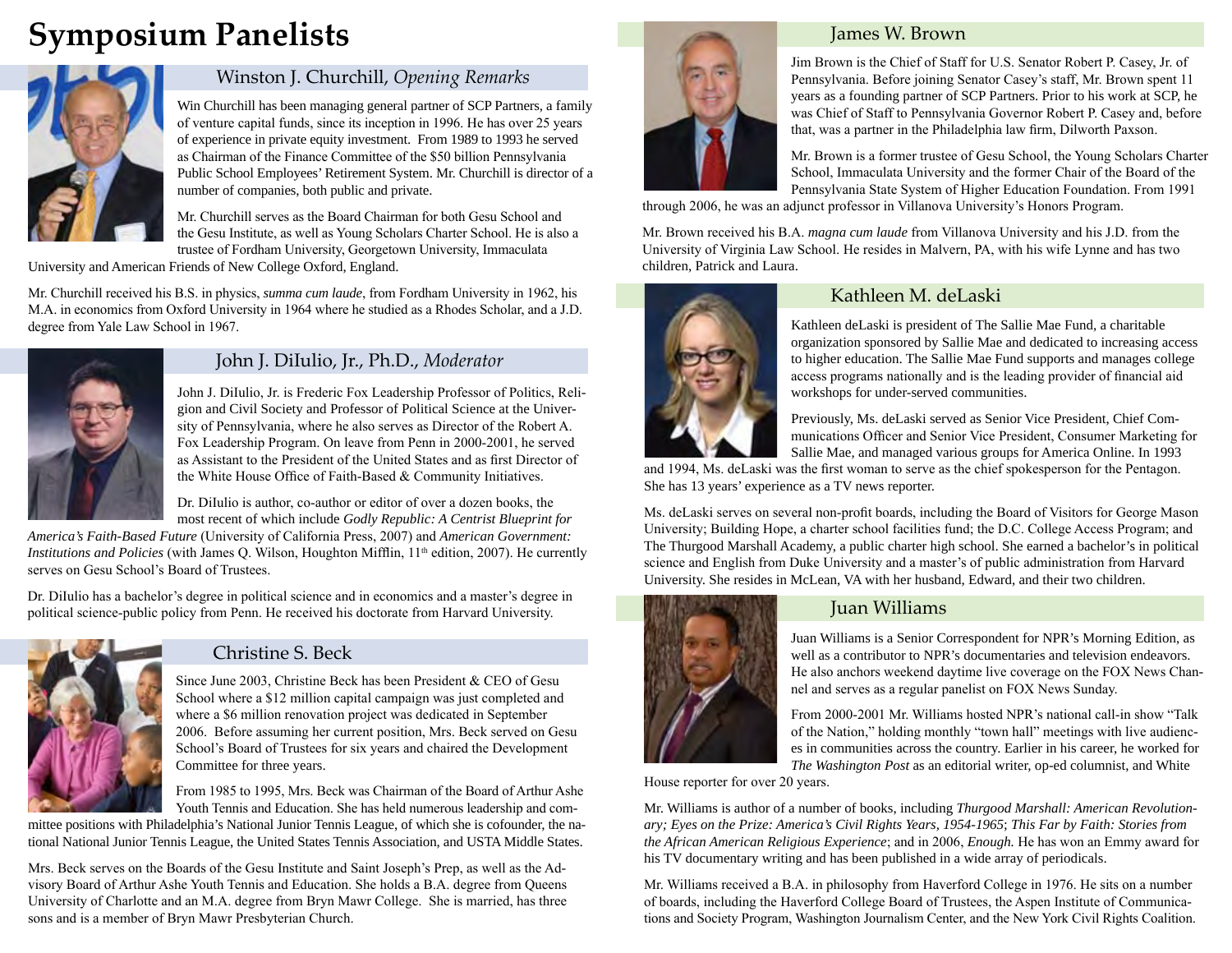# **Symposium Panelists**



## Winston J. Churchill, *Opening Remarks*

Win Churchill has been managing general partner of SCP Partners, a family of venture capital funds, since its inception in 1996. He has over 25 years of experience in private equity investment. From 1989 to 1993 he served as Chairman of the Finance Committee of the \$50 billion Pennsylvania Public School Employees' Retirement System. Mr. Churchill is director of a number of companies, both public and private.

Mr. Churchill serves as the Board Chairman for both Gesu School and the Gesu Institute, as well as Young Scholars Charter School. He is also a trustee of Fordham University, Georgetown University, Immaculata

University and American Friends of New College Oxford, England.

Mr. Churchill received his B.S. in physics, *summa cum laude*, from Fordham University in 1962, his M.A. in economics from Oxford University in 1964 where he studied as a Rhodes Scholar, and a J.D. degree from Yale Law School in 1967.



## John J. DiIulio, Jr., Ph.D., *Moderator*

John J. DiIulio, Jr. is Frederic Fox Leadership Professor of Politics, Religion and Civil Society and Professor of Political Science at the University of Pennsylvania, where he also serves as Director of the Robert A. Fox Leadership Program. On leave from Penn in 2000-2001, he served as Assistant to the President of the United States and as first Director of the White House Office of Faith-Based & Community Initiatives.

Dr. DiIulio is author, co-author or editor of over a dozen books, the most recent of which include *Godly Republic: A Centrist Blueprint for* 

*America's Faith-Based Future* (University of California Press, 2007) and *American Government: Institutions and Policies* (with James Q. Wilson, Houghton Mifflin, 11<sup>th</sup> edition, 2007). He currently serves on Gesu School's Board of Trustees.

Dr. DiIulio has a bachelor's degree in political science and in economics and a master's degree in political science-public policy from Penn. He received his doctorate from Harvard University. Juan Williams Juan Williams



## Christine S. Beck

Since June 2003, Christine Beck has been President & CEO of Gesu School where a \$12 million capital campaign was just completed and where a \$6 million renovation project was dedicated in September 2006. Before assuming her current position, Mrs. Beck served on Gesu School's Board of Trustees for six years and chaired the Development Committee for three years.

From 1985 to 1995, Mrs. Beck was Chairman of the Board of Arthur Ashe Youth Tennis and Education. She has held numerous leadership and com-

mittee positions with Philadelphia's National Junior Tennis League, of which she is cofounder, the national National Junior Tennis League, the United States Tennis Association, and USTA Middle States.

Mrs. Beck serves on the Boards of the Gesu Institute and Saint Joseph's Prep, as well as the Advisory Board of Arthur Ashe Youth Tennis and Education. She holds a B.A. degree from Queens University of Charlotte and an M.A. degree from Bryn Mawr College. She is married, has three sons and is a member of Bryn Mawr Presbyterian Church.



#### James W. Brown

Jim Brown is the Chief of Staff for U.S. Senator Robert P. Casey, Jr. of Pennsylvania. Before joining Senator Casey's staff, Mr. Brown spent 11 years as a founding partner of SCP Partners. Prior to his work at SCP, he was Chief of Staff to Pennsylvania Governor Robert P. Casey and, before that, was a partner in the Philadelphia law firm, Dilworth Paxson.

Mr. Brown is a former trustee of Gesu School, the Young Scholars Charter School, Immaculata University and the former Chair of the Board of the Pennsylvania State System of Higher Education Foundation. From 1991

through 2006, he was an adjunct professor in Villanova University's Honors Program.

Mr. Brown received his B.A. *magna cum laude* from Villanova University and his J.D. from the University of Virginia Law School. He resides in Malvern, PA, with his wife Lynne and has two children, Patrick and Laura.



### Kathleen M. deLaski

Kathleen deLaski is president of The Sallie Mae Fund, a charitable organization sponsored by Sallie Mae and dedicated to increasing access to higher education. The Sallie Mae Fund supports and manages college access programs nationally and is the leading provider of financial aid workshops for under-served communities.

Previously, Ms. deLaski served as Senior Vice President, Chief Communications Officer and Senior Vice President, Consumer Marketing for Sallie Mae, and managed various groups for America Online. In 1993

and 1994, Ms. deLaski was the first woman to serve as the chief spokesperson for the Pentagon. She has 13 years' experience as a TV news reporter.

Ms. deLaski serves on several non-profit boards, including the Board of Visitors for George Mason University; Building Hope, a charter school facilities fund; the D.C. College Access Program; and The Thurgood Marshall Academy, a public charter high school. She earned a bachelor's in political science and English from Duke University and a master's of public administration from Harvard University. She resides in McLean, VA with her husband, Edward, and their two children.



Juan Williams is a Senior Correspondent for NPR's Morning Edition, as well as a contributor to NPR's documentaries and television endeavors. He also anchors weekend daytime live coverage on the FOX News Channel and serves as a regular panelist on FOX News Sunday.

From 2000-2001 Mr. Williams hosted NPR's national call-in show "Talk of the Nation," holding monthly "town hall" meetings with live audiences in communities across the country. Earlier in his career, he worked for *The Washington Post* as an editorial writer, op-ed columnist, and White

House reporter for over 20 years.

Mr. Williams is author of a number of books, including *Thurgood Marshall: American Revolutionary; Eyes on the Prize: America's Civil Rights Years, 1954-1965*; *This Far by Faith: Stories from the African American Religious Experience*; and in 2006, *Enough.* He has won an Emmy award for his TV documentary writing and has been published in a wide array of periodicals.

Mr. Williams received a B.A. in philosophy from Haverford College in 1976. He sits on a number of boards, including the Haverford College Board of Trustees, the Aspen Institute of Communications and Society Program, Washington Journalism Center, and the New York Civil Rights Coalition.